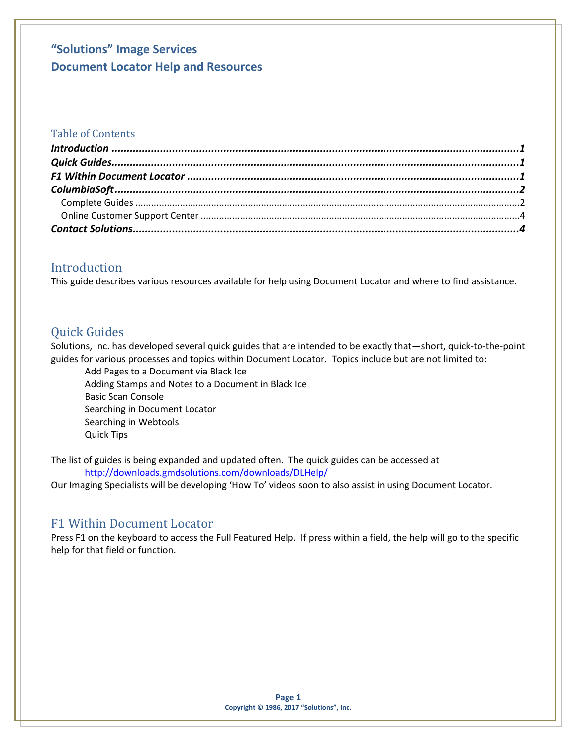### Table of Contents

## <span id="page-0-0"></span>Introduction

This guide describes various resources available for help using Document Locator and where to find assistance.

## <span id="page-0-1"></span>Quick Guides

Solutions, Inc. has developed several quick guides that are intended to be exactly that—short, quick-to-the-point guides for various processes and topics within Document Locator. Topics include but are not limited to:

Add Pages to a Document via Black Ice Adding Stamps and Notes to a Document in Black Ice Basic Scan Console Searching in Document Locator Searching in Webtools Quick Tips

The list of guides is being expanded and updated often. The quick guides can be accessed at <http://downloads.gmdsolutions.com/downloads/DLHelp/>

Our Imaging Specialists will be developing 'How To' videos soon to also assist in using Document Locator.

### <span id="page-0-2"></span>F1 Within Document Locator

Press F1 on the keyboard to access the Full Featured Help. If press within a field, the help will go to the specific help for that field or function.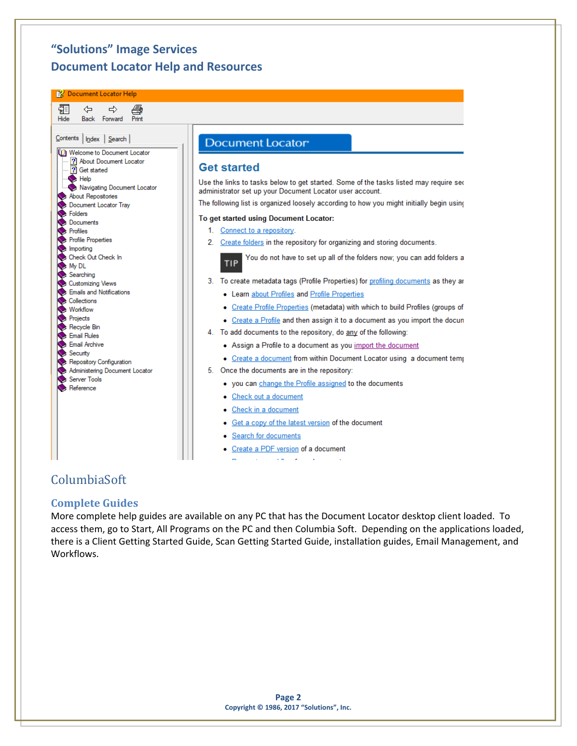**B** Document Locator Help



## <span id="page-1-0"></span>ColumbiaSoft

#### <span id="page-1-1"></span>**Complete Guides**

More complete help guides are available on any PC that has the Document Locator desktop client loaded. To access them, go to Start, All Programs on the PC and then Columbia Soft. Depending on the applications loaded, there is a Client Getting Started Guide, Scan Getting Started Guide, installation guides, Email Management, and Workflows.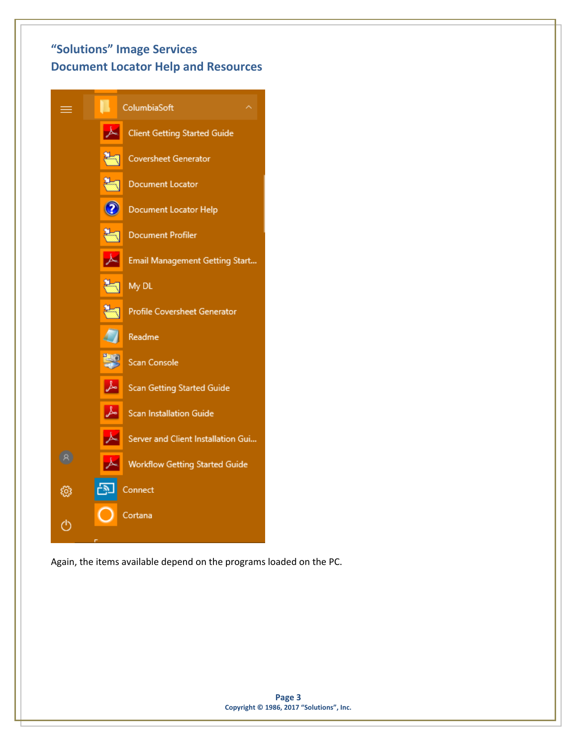

Again, the items available depend on the programs loaded on the PC.